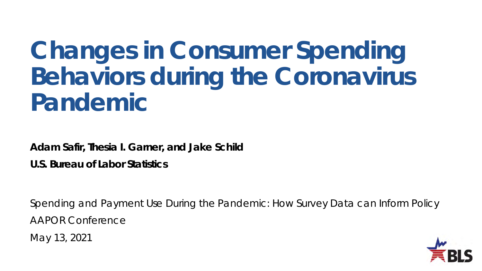# **Changes in Consumer Spending Behaviors during the Coronavirus Pandemic**

**Adam Safir, Thesia I. Garner, and Jake Schild**

**U.S. Bureau of Labor Statistics**

Spending and Payment Use During the Pandemic: How Survey Data can Inform Policy AAPOR Conference

May 13, 2021

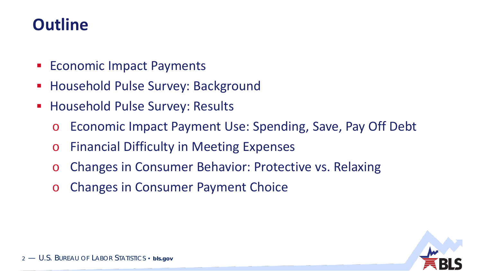### **Outline**

- **Economic Impact Payments**
- **Household Pulse Survey: Background**
- **Household Pulse Survey: Results** 
	- o Economic Impact Payment Use: Spending, Save, Pay Off Debt
	- o Financial Difficulty in Meeting Expenses
	- o Changes in Consumer Behavior: Protective vs. Relaxing
	- o Changes in Consumer Payment Choice

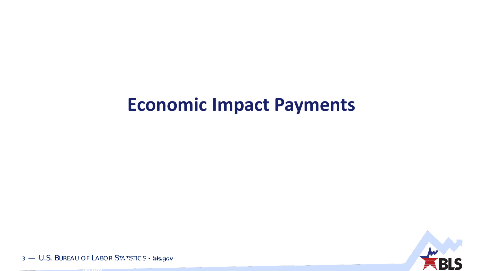# **Economic Impact Payments**



3 — U.S. BUREAU OF LABOR STATISTICS • **bls.gov** <sup>3</sup> — U.S. BUREAU OF LABOR STATISTICS •

**bls.gov**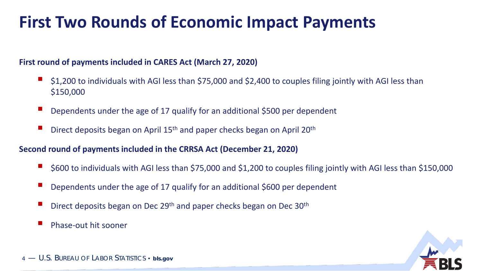# **First Two Rounds of Economic Impact Payments**

#### **First round of payments included in CARES Act (March 27, 2020)**

- \$1,200 to individuals with AGI less than \$75,000 and \$2,400 to couples filing jointly with AGI less than \$150,000
- Dependents under the age of 17 qualify for an additional \$500 per dependent
- Direct deposits began on April 15<sup>th</sup> and paper checks began on April 20<sup>th</sup>

#### **Second round of payments included in the CRRSA Act (December 21, 2020)**

- \$600 to individuals with AGI less than \$75,000 and \$1,200 to couples filing jointly with AGI less than \$150,000
- Dependents under the age of 17 qualify for an additional \$600 per dependent
- Direct deposits began on Dec 29<sup>th</sup> and paper checks began on Dec 30<sup>th</sup>
- Phase-out hit sooner

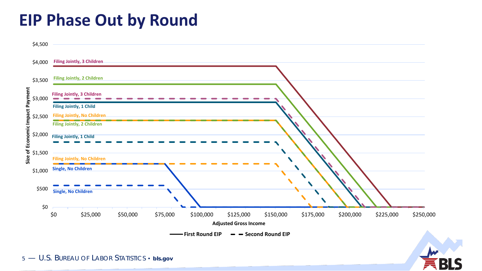### **EIP Phase Out by Round**



5 — U.S. BUREAU OF LABOR STATISTICS • **bls.gov**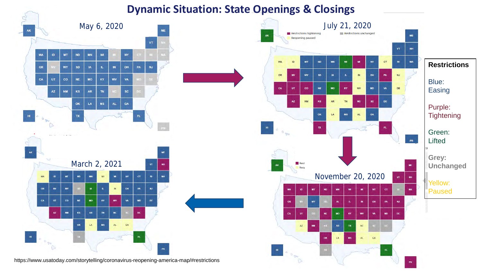### **Dynamic Situation: State Openings & Closings**

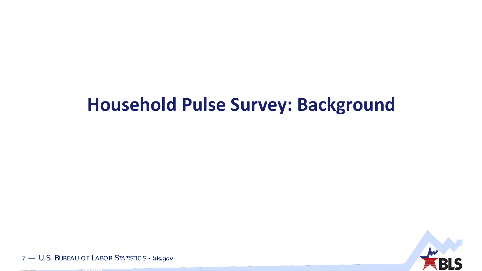# **Household Pulse Survey: Background**



7 — U.S. BUREAU OF LABOR STATISTICS • **bls.gov** <sup>7</sup> — U.S. BUREAU OF LABOR STATISTICS •

**bls.gov**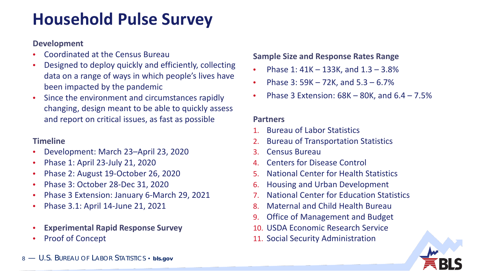# **Household Pulse Survey**

#### **Development**

- Coordinated at the Census Bureau
- Designed to deploy quickly and efficiently, collecting data on a range of ways in which people's lives have been impacted by the pandemic
- Since the environment and circumstances rapidly changing, design meant to be able to quickly assess and report on critical issues, as fast as possible

### **Timeline**

- Development: March 23–April 23, 2020
- Phase 1: April 23-July 21, 2020
- Phase 2: August 19-October 26, 2020
- Phase 3: October 28-Dec 31, 2020
- Phase 3 Extension: January 6-March 29, 2021
- Phase 3.1: April 14-June 21, 2021
- **Experimental Rapid Response Survey**
- Proof of Concept

### **Sample Size and Response Rates Range**

- Phase 1: 41K 133K, and 1.3 3.8%
- Phase  $3: 59K 72K$ , and  $5.3 6.7\%$
- Phase 3 Extension:  $68K 80K$ , and  $6.4 7.5%$

#### **Partners**

- 1. Bureau of Labor Statistics
- 2. Bureau of Transportation Statistics
- 3. Census Bureau
- 4. Centers for Disease Control
- 5. National Center for Health Statistics
- 6. Housing and Urban Development
- 7. National Center for Education Statistics
- 8. Maternal and Child Health Bureau
- 9. Office of Management and Budget
- 10. USDA Economic Research Service
- 11. Social Security Administration



8 — U.S. BUREAU OF LABOR STATISTICS • **bls.gov**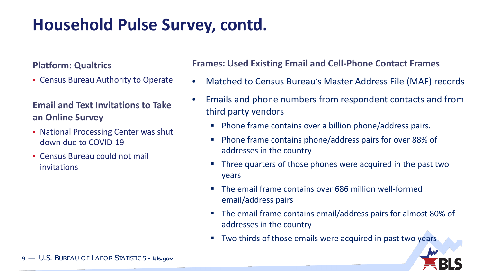# **Household Pulse Survey, contd.**

#### **Platform: Qualtrics**

• Census Bureau Authority to Operate

### **Email and Text Invitations to Take an Online Survey**

- National Processing Center was shut down due to COVID-19
- Census Bureau could not mail invitations

### **Frames: Used Existing Email and Cell-Phone Contact Frames**

- Matched to Census Bureau's Master Address File (MAF) records
- Emails and phone numbers from respondent contacts and from third party vendors
	- **Phone frame contains over a billion phone/address pairs.**
	- Phone frame contains phone/address pairs for over 88% of addresses in the country
	- Three quarters of those phones were acquired in the past two years
	- The email frame contains over 686 million well-formed email/address pairs
	- The email frame contains email/address pairs for almost 80% of addresses in the country
	- **Two thirds of those emails were acquired in past two years**

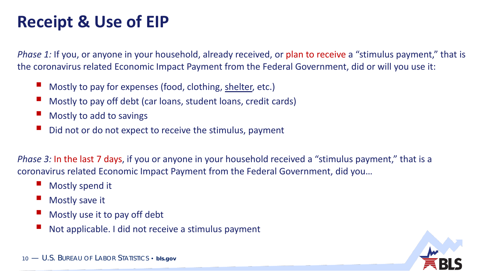# **Receipt & Use of EIP**

*Phase 1:* If you, or anyone in your household, already received, or plan to receive a "stimulus payment," that is the coronavirus related Economic Impact Payment from the Federal Government, did or will you use it:

- Mostly to pay for expenses (food, clothing, shelter, etc.)
- Mostly to pay off debt (car loans, student loans, credit cards)
- Mostly to add to savings
- Did not or do not expect to receive the stimulus, payment

*Phase 3:* In the last 7 days, if you or anyone in your household received a "stimulus payment," that is a coronavirus related Economic Impact Payment from the Federal Government, did you…

- Mostly spend it
- Mostly save it
- Mostly use it to pay off debt
- Not applicable. I did not receive a stimulus payment



10 — U.S. BUREAU OF LABOR STATISTICS • **bls.gov**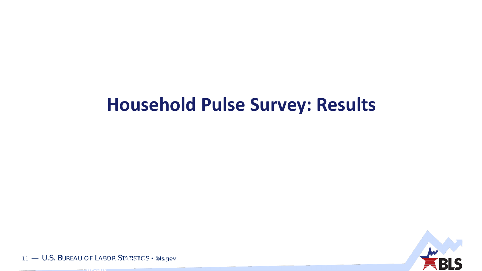# **Household Pulse Survey: Results**



11 — U.S. BUREAU OF LABOR STATISTICS • **bls.gov** <sup>11</sup> — U.S. BUREAU OF LABOR STATISTICS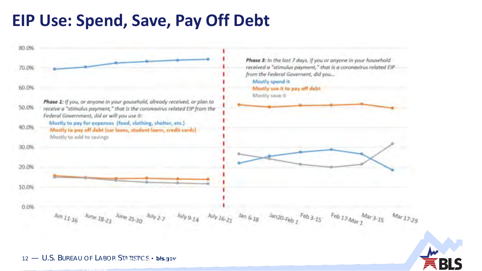### **EIP Use: Spend, Save, Pay Off Debt**





12 — U.S. BUREAU OF LABOR STATISTICS • **bls.gov** <sup>12</sup> — U.S. BUREAU OF LABOR STATISTICS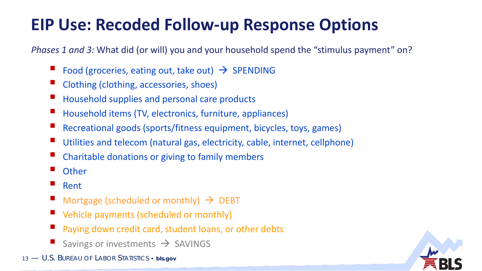# **EIP Use: Recoded Follow-up Response Options**

*Phases 1 and 3:* What did (or will) you and your household spend the "stimulus payment" on?

- Food (groceries, eating out, take out)  $\rightarrow$  SPENDING
- Clothing (clothing, accessories, shoes)
- Household supplies and personal care products
- Household items (TV, electronics, furniture, appliances)
- Recreational goods (sports/fitness equipment, bicycles, toys, games)
- Utilities and telecom (natural gas, electricity, cable, internet, cellphone)
- Charitable donations or giving to family members
- **Other**
- Rent
- Mortgage (scheduled or monthly)  $\rightarrow$  DEBT
- Vehicle payments (scheduled or monthly)
- Paying down credit card, student loans, or other debts
- Savings or investments  $\rightarrow$  SAVINGS
- 13 U.S. BUREAU OF LABOR STATISTICS **bls.gov**

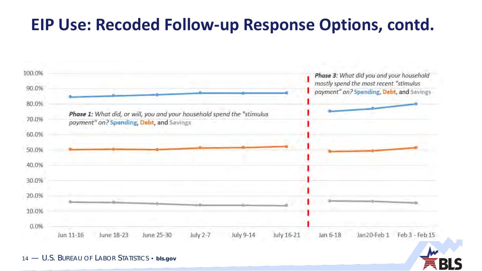### **EIP Use: Recoded Follow-up Response Options, contd.**



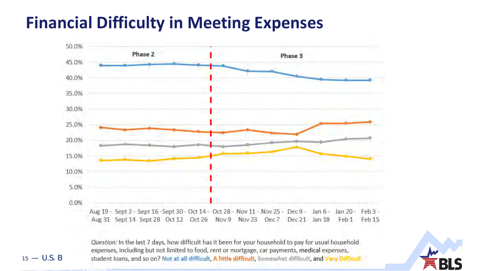# **Financial Difficulty in Meeting Expenses**



Question: In the last 7 days, how difficult has it been for your household to pay for usual household expenses, including but not limited to food, rent or mortgage, car payments, medical expenses, 15 — U.S. B student loans, and so on? Not at all difficult, A litt

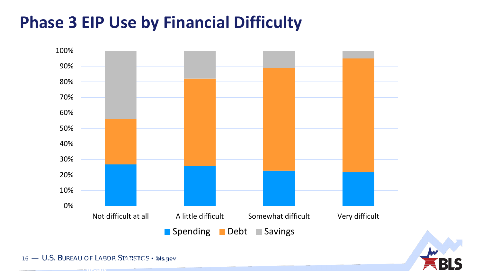# **Phase 3 EIP Use by Financial Difficulty**





16 — U.S. BUREAU OF LABOR STATISTICS • **bls.gov** <sup>16</sup> — U.S. BUREAU OF LABOR STATISTICS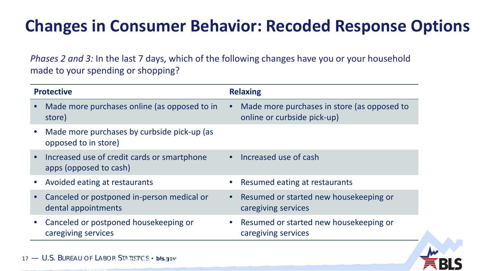# **Changes in Consumer Behavior: Recoded Response Options**

*Phases 2 and 3:* In the last 7 days, which of the following changes have you or your household made to your spending or shopping?

| <b>Protective</b>                                                                  | <b>Relaxing</b>                                                            |
|------------------------------------------------------------------------------------|----------------------------------------------------------------------------|
| Made more purchases online (as opposed to in<br>store)                             | Made more purchases in store (as opposed to<br>online or curbside pick-up) |
| Made more purchases by curbside pick-up (as<br>$\bullet$<br>opposed to in store)   |                                                                            |
| Increased use of credit cards or smartphone<br>$\bullet$<br>apps (opposed to cash) | Increased use of cash                                                      |
| Avoided eating at restaurants                                                      | • Resumed eating at restaurants                                            |
| Canceled or postponed in-person medical or<br>$\bullet$<br>dental appointments     | Resumed or started new housekeeping or<br>caregiving services              |
| Canceled or postponed housekeeping or<br>$\bullet$<br>caregiving services          | Resumed or started new housekeeping or<br>caregiving services              |
|                                                                                    |                                                                            |

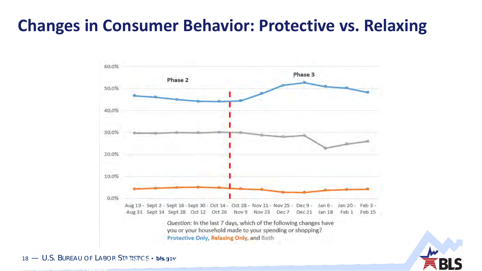# **Changes in Consumer Behavior: Protective vs. Relaxing**





18 — U.S. BUREAU OF LABOR STATISTICS • **bls.gov** <sup>18</sup> — U.S. BUREAU OF LABOR STATISTICS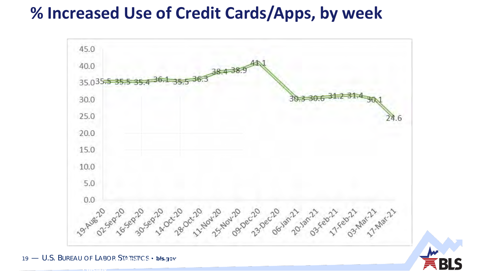## **% Increased Use of Credit Cards/Apps, by week**



19 — U.S. BUREAU OF LABOR STATISTICS • **bls.gov** <sup>19</sup> — U.S. BUREAU OF LABOR STATISTICS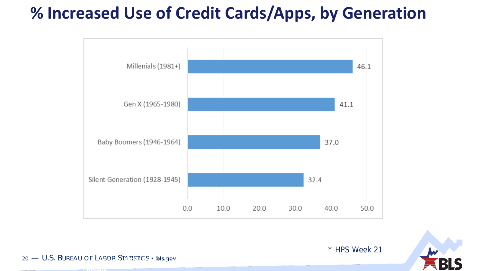# **% Increased Use of Credit Cards/Apps, by Generation**





\* HPS Week 21

20 — U.S. BUREAU OF LABOR STATISTICS • **bls.gov** <sup>20</sup> — U.S. BUREAU OF LABOR STATISTICS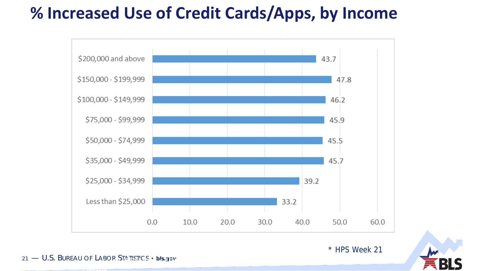# **% Increased Use of Credit Cards/Apps, by Income**



21 — U.S. BUREAU OF LABOR STATISTICS • **bls.gov** <sup>21</sup> — U.S. BUREAU OF LABOR STATISTICS

• **bls.gov**

\* HPS Week 21

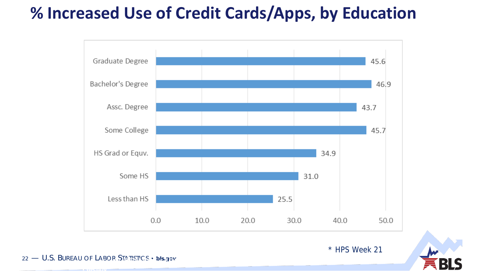# **% Increased Use of Credit Cards/Apps, by Education**



22 — U.S. BUREAU OF LABOR STATISTICS • **bls.gov** <sup>22</sup> — U.S. BUREAU OF LABOR STATISTICS

• **bls.gov**

\* HPS Week 21

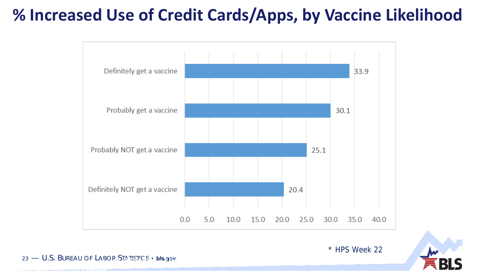# **% Increased Use of Credit Cards/Apps, by Vaccine Likelihood**



\* HPS Week 22

23 — U.S. BUREAU OF LABOR STATISTICS • **bls.gov** <sup>23</sup> — U.S. BUREAU OF LABOR STATISTICS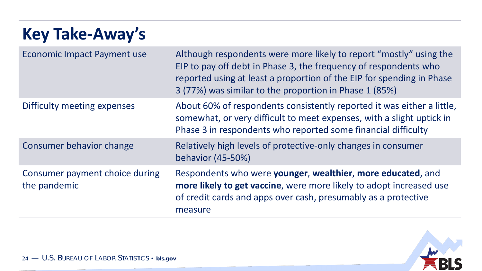### **Key Take-Away's** Economic Impact Payment use Although respondents were more likely to report "mostly" using the EIP to pay off debt in Phase 3, the frequency of respondents who reported using at least a proportion of the EIP for spending in Phase 3 (77%) was similar to the proportion in Phase 1 (85%) Difficulty meeting expenses About 60% of respondents consistently reported it was either a little, somewhat, or very difficult to meet expenses, with a slight uptick in Phase 3 in respondents who reported some financial difficulty Consumer behavior change **Relatively high levels of protective-only changes in consumer** behavior (45-50%) Consumer payment choice during the pandemic Respondents who were **younger**, **wealthier**, **more educated**, and **more likely to get vaccine**, were more likely to adopt increased use of credit cards and apps over cash, presumably as a protective measure